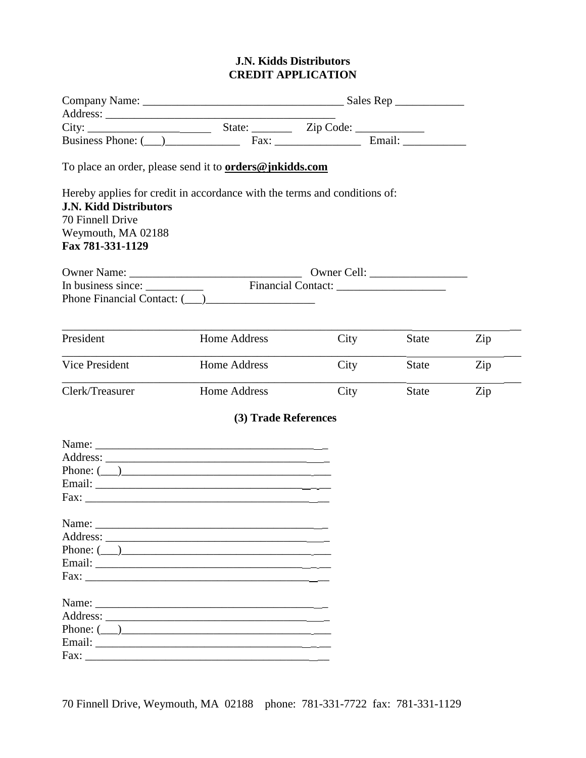## **J.N. Kidds Distributors CREDIT APPLICATION**

|                                                                                             | Business Phone: ( ) Fax: Fax: Email: Email:                               |      |              |     |
|---------------------------------------------------------------------------------------------|---------------------------------------------------------------------------|------|--------------|-----|
|                                                                                             | To place an order, please send it to <b>orders@jnkidds.com</b>            |      |              |     |
| <b>J.N. Kidd Distributors</b><br>70 Finnell Drive<br>Weymouth, MA 02188<br>Fax 781-331-1129 | Hereby applies for credit in accordance with the terms and conditions of: |      |              |     |
|                                                                                             |                                                                           |      |              |     |
| President                                                                                   | Home Address                                                              | City | State        | Zip |
| Vice President                                                                              | Home Address                                                              | City | <b>State</b> | Zip |
| Clerk/Treasurer                                                                             | Home Address                                                              | City | <b>State</b> | Zip |
|                                                                                             | (3) Trade References                                                      |      |              |     |
|                                                                                             |                                                                           |      |              |     |
|                                                                                             |                                                                           |      |              |     |
|                                                                                             | Phone: $\qquad \qquad$                                                    |      |              |     |
|                                                                                             |                                                                           |      |              |     |
|                                                                                             |                                                                           |      |              |     |
|                                                                                             |                                                                           |      |              |     |
|                                                                                             |                                                                           |      |              |     |
|                                                                                             | Phone: $(\_\_)$                                                           |      |              |     |
|                                                                                             |                                                                           |      |              |     |
|                                                                                             |                                                                           |      |              |     |
|                                                                                             |                                                                           |      |              |     |
|                                                                                             |                                                                           |      |              |     |
|                                                                                             | Phone: $\qquad \qquad$                                                    |      |              |     |
|                                                                                             |                                                                           |      |              |     |
|                                                                                             |                                                                           |      |              |     |